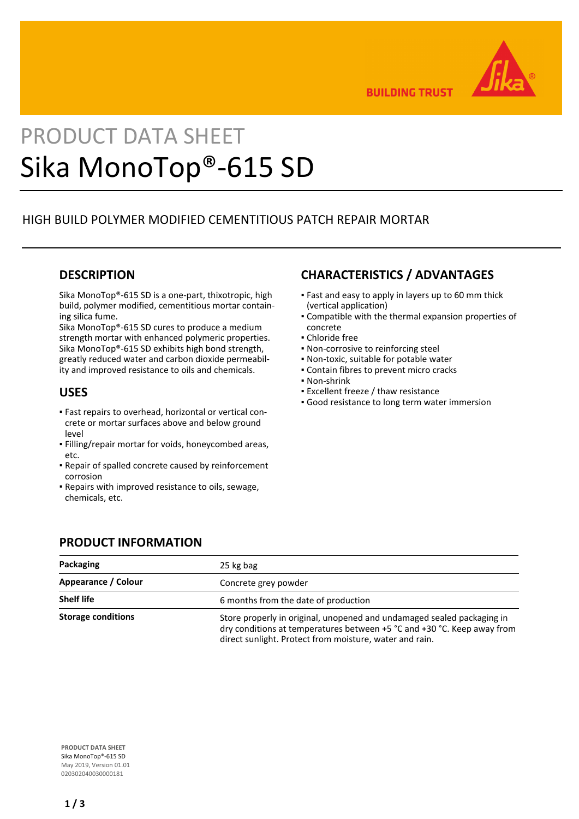

**BUILDING TRUST** 

# PRODUCT DATA SHEET Sika MonoTop®-615 SD

# HIGH BUILD POLYMER MODIFIED CEMENTITIOUS PATCH REPAIR MORTAR

## **DESCRIPTION**

Sika MonoTop®-615 SD is a one-part, thixotropic, high build, polymer modified, cementitious mortar containing silica fume.

Sika MonoTop®-615 SD cures to produce a medium strength mortar with enhanced polymeric properties. Sika MonoTop®-615 SD exhibits high bond strength, greatly reduced water and carbon dioxide permeability and improved resistance to oils and chemicals.

### **USES**

- Fast repairs to overhead, horizontal or vertical con-▪ crete or mortar surfaces above and below ground level
- Filling/repair mortar for voids, honeycombed areas, etc.
- Repair of spalled concrete caused by reinforcement corrosion
- Repairs with improved resistance to oils, sewage, chemicals, etc.

# **CHARACTERISTICS / ADVANTAGES**

- Fast and easy to apply in layers up to 60 mm thick (vertical application)
- Compatible with the thermal expansion properties of concrete
- Chloride free
- Non-corrosive to reinforcing steel
- Non-toxic, suitable for potable water
- Contain fibres to prevent micro cracks
- Non-shrink
- **Excellent freeze / thaw resistance**
- **Good resistance to long term water immersion**

## **PRODUCT INFORMATION**

| Packaging                 | 25 kg bag<br>Concrete grey powder                                                                                                                                                                            |  |  |
|---------------------------|--------------------------------------------------------------------------------------------------------------------------------------------------------------------------------------------------------------|--|--|
| Appearance / Colour       |                                                                                                                                                                                                              |  |  |
| <b>Shelf life</b>         | 6 months from the date of production                                                                                                                                                                         |  |  |
| <b>Storage conditions</b> | Store properly in original, unopened and undamaged sealed packaging in<br>dry conditions at temperatures between +5 °C and +30 °C. Keep away from<br>direct sunlight. Protect from moisture, water and rain. |  |  |

**PRODUCT DATA SHEET** Sika MonoTop®-615 SD May 2019, Version 01.01 020302040030000181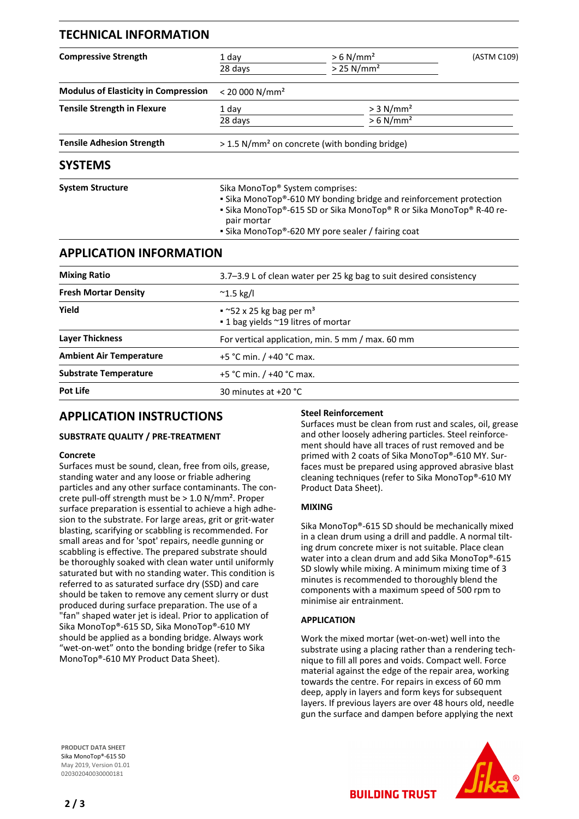| <b>TECHNICAL INFORMATION</b>                |                                                                                                                                                                                                                                                  |                                                     |             |
|---------------------------------------------|--------------------------------------------------------------------------------------------------------------------------------------------------------------------------------------------------------------------------------------------------|-----------------------------------------------------|-------------|
| <b>Compressive Strength</b>                 | 1 day<br>28 days                                                                                                                                                                                                                                 | $> 6$ N/mm <sup>2</sup><br>$> 25$ N/mm <sup>2</sup> | (ASTM C109) |
| <b>Modulus of Elasticity in Compression</b> | < 20000 N/mm <sup>2</sup>                                                                                                                                                                                                                        |                                                     |             |
| <b>Tensile Strength in Flexure</b>          | 1 day<br>28 days                                                                                                                                                                                                                                 | $> 3$ N/mm <sup>2</sup><br>$> 6$ N/mm <sup>2</sup>  |             |
| <b>Tensile Adhesion Strength</b>            | > 1.5 N/mm <sup>2</sup> on concrete (with bonding bridge)                                                                                                                                                                                        |                                                     |             |
| <b>SYSTEMS</b>                              |                                                                                                                                                                                                                                                  |                                                     |             |
| <b>System Structure</b>                     | Sika MonoTop® System comprises:<br>• Sika MonoTop®-610 MY bonding bridge and reinforcement protection<br>• Sika MonoTop®-615 SD or Sika MonoTop® R or Sika MonoTop® R-40 re-<br>pair mortar<br>• Sika MonoTop®-620 MY pore sealer / fairing coat |                                                     |             |
| <b>APPLICATION INFORMATION</b>              |                                                                                                                                                                                                                                                  |                                                     |             |
| <b>Mixing Ratio</b>                         | 3.7-3.9 L of clean water per 25 kg bag to suit desired consistency                                                                                                                                                                               |                                                     |             |
| <b>Fresh Mortar Density</b>                 | $^{\sim}$ 1.5 kg/l                                                                                                                                                                                                                               |                                                     |             |
| Yield                                       | $\sim$ 52 x 25 kg bag per m <sup>3</sup><br>■ 1 bag yields ~19 litres of mortar                                                                                                                                                                  |                                                     |             |
| <b>Layer Thickness</b>                      | For vertical application, min. 5 mm / max. 60 mm                                                                                                                                                                                                 |                                                     |             |
| <b>Ambient Air Temperature</b>              | +5 °C min. / +40 °C max.                                                                                                                                                                                                                         |                                                     |             |
| <b>Substrate Temperature</b>                | +5 °C min. $/$ +40 °C max.                                                                                                                                                                                                                       |                                                     |             |

## **APPLICATION INSTRUCTIONS**

**Pot Life** 30 minutes at +20 °C

#### **SUBSTRATE QUALITY / PRE-TREATMENT**

#### **Concrete**

Surfaces must be sound, clean, free from oils, grease, standing water and any loose or friable adhering particles and any other surface contaminants. The concrete pull-off strength must be > 1.0 N/mm². Proper surface preparation is essential to achieve a high adhesion to the substrate. For large areas, grit or grit-water blasting, scarifying or scabbling is recommended. For small areas and for 'spot' repairs, needle gunning or scabbling is effective. The prepared substrate should be thoroughly soaked with clean water until uniformly saturated but with no standing water. This condition is referred to as saturated surface dry (SSD) and care should be taken to remove any cement slurry or dust produced during surface preparation. The use of a "fan" shaped water jet is ideal. Prior to application of Sika MonoTop®-615 SD, Sika MonoTop®-610 MY should be applied as a bonding bridge. Always work "wet-on-wet" onto the bonding bridge (refer to Sika MonoTop®-610 MY Product Data Sheet).

#### **Steel Reinforcement**

Surfaces must be clean from rust and scales, oil, grease and other loosely adhering particles. Steel reinforcement should have all traces of rust removed and be primed with 2 coats of Sika MonoTop®-610 MY. Surfaces must be prepared using approved abrasive blast cleaning techniques (refer to Sika MonoTop®-610 MY Product Data Sheet).

#### **MIXING**

Sika MonoTop®-615 SD should be mechanically mixed in a clean drum using a drill and paddle. A normal tilting drum concrete mixer is not suitable. Place clean water into a clean drum and add Sika MonoTop®-615 SD slowly while mixing. A minimum mixing time of 3 minutes is recommended to thoroughly blend the components with a maximum speed of 500 rpm to minimise air entrainment.

#### **APPLICATION**

Work the mixed mortar (wet-on-wet) well into the substrate using a placing rather than a rendering technique to fill all pores and voids. Compact well. Force material against the edge of the repair area, working towards the centre. For repairs in excess of 60 mm deep, apply in layers and form keys for subsequent layers. If previous layers are over 48 hours old, needle gun the surface and dampen before applying the next

**BUILDING TRUST** 

**PRODUCT DATA SHEET** Sika MonoTop®-615 SD May 2019, Version 01.01 020302040030000181